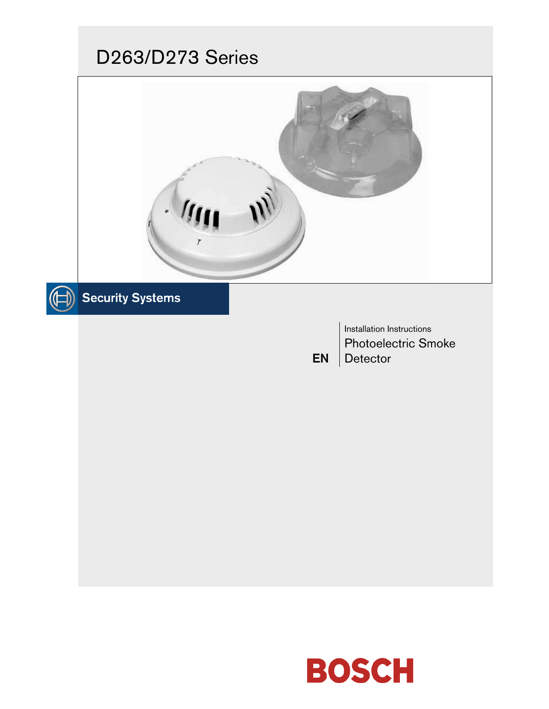# D263/D273 Series



EN

# $\textcircled{\scriptsize{\textsf{H}}}$  Security Systems

Installation Instructions Photoelectric Smoke **Detector** 

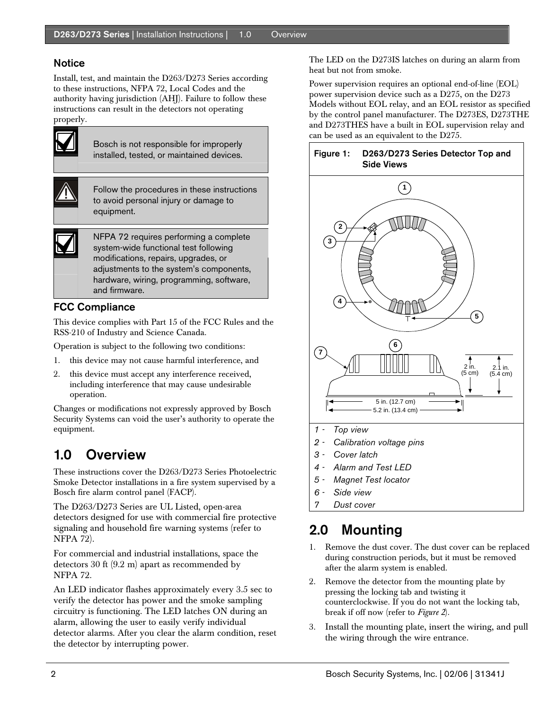### Notice

Install, test, and maintain the D263/D273 Series according to these instructions, NFPA 72, Local Codes and the authority having jurisdiction (AHJ). Failure to follow these instructions can result in the detectors not operating properly.



Bosch is not responsible for improperly installed, tested, or maintained devices.



Follow the procedures in these instructions to avoid personal injury or damage to equipment.

NFPA 72 requires performing a complete system-wide functional test following modifications, repairs, upgrades, or adjustments to the system's components, hardware, wiring, programming, software, and firmware.

### FCC Compliance

This device complies with Part 15 of the FCC Rules and the RSS-210 of Industry and Science Canada.

Operation is subject to the following two conditions:

- 1. this device may not cause harmful interference, and
- 2. this device must accept any interference received, including interference that may cause undesirable operation.

Changes or modifications not expressly approved by Bosch Security Systems can void the user's authority to operate the equipment.

# 1.0 Overview

These instructions cover the D263/D273 Series Photoelectric Smoke Detector installations in a fire system supervised by a Bosch fire alarm control panel (FACP).

The D263/D273 Series are UL Listed, open-area detectors designed for use with commercial fire protective signaling and household fire warning systems (refer to NFPA 72).

For commercial and industrial installations, space the detectors 30 ft (9.2 m) apart as recommended by NFPA 72.

An LED indicator flashes approximately every 3.5 sec to verify the detector has power and the smoke sampling circuitry is functioning. The LED latches ON during an alarm, allowing the user to easily verify individual detector alarms. After you clear the alarm condition, reset the detector by interrupting power.

The LED on the D273IS latches on during an alarm from heat but not from smoke.

Power supervision requires an optional end-of-line (EOL) power supervision device such as a D275, on the D273 Models without EOL relay, and an EOL resistor as specified by the control panel manufacturer. The D273ES, D273THE and D273THES have a built in EOL supervision relay and can be used as an equivalent to the D275.



- *6 Side view*
- *7 Dust cover*

# 2.0 Mounting

- 1. Remove the dust cover. The dust cover can be replaced during construction periods, but it must be removed after the alarm system is enabled.
- 2. Remove the detector from the mounting plate by pressing the locking tab and twisting it counterclockwise. If you do not want the locking tab, break if off now (refer to *Figure 2*).
- 3. Install the mounting plate, insert the wiring, and pull the wiring through the wire entrance.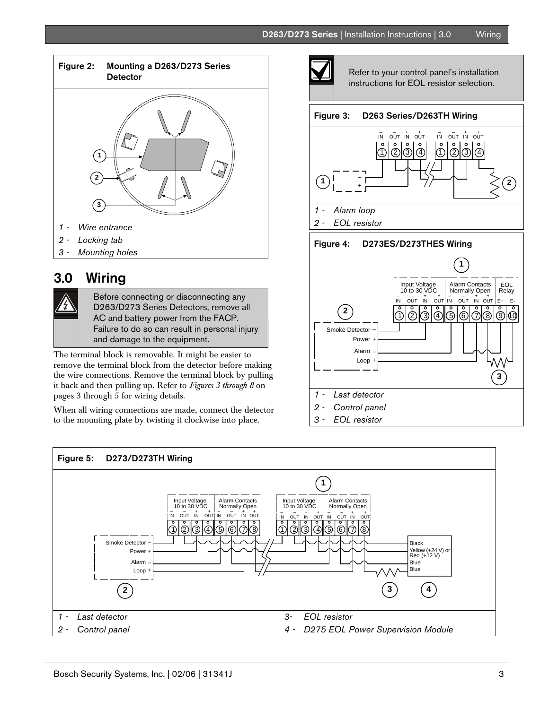

*2 - Locking tab* 

.

*3 - Mounting holes* 

## 3.0 Wiring

Before connecting or disconnecting any D263/D273 Series Detectors, remove all AC and battery power from the FACP. Failure to do so can result in personal injury and damage to the equipment.

The terminal block is removable. It might be easier to remove the terminal block from the detector before making the wire connections. Remove the terminal block by pulling it back and then pulling up. Refer to *Figures 3 through 8* on pages 3 through 5 for wiring details.

When all wiring connections are made, connect the detector to the mounting plate by twisting it clockwise into place.



Refer to your control panel's installation instructions for EOL resistor selection.

#### Figure 3: D263 Series/D263TH Wiring



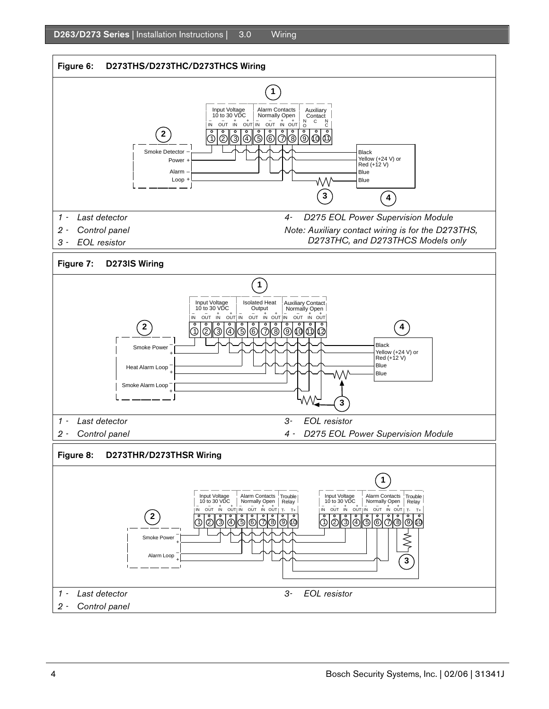

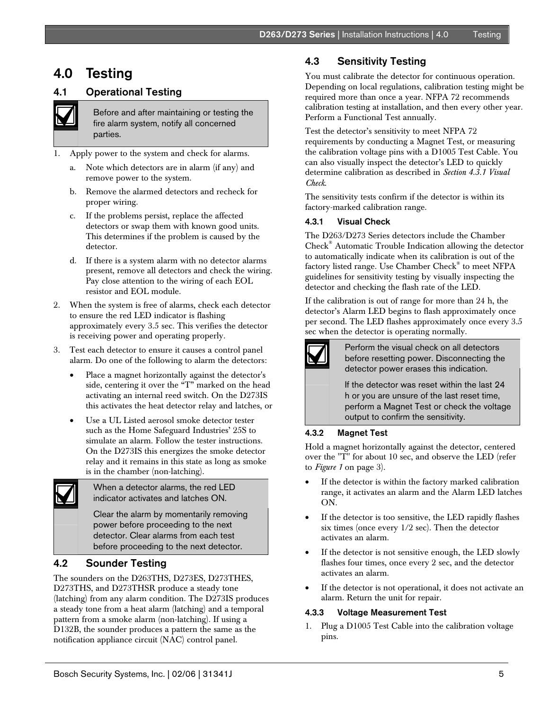D263/D273 Series | Installation Instructions | 4.0 Testing

## 4.0 Testing

### 4.1 Operational Testing

Before and after maintaining or testing the fire alarm system, notify all concerned parties.

- 1. Apply power to the system and check for alarms.
	- a. Note which detectors are in alarm (if any) and remove power to the system.
	- b. Remove the alarmed detectors and recheck for proper wiring.
	- c. If the problems persist, replace the affected detectors or swap them with known good units. This determines if the problem is caused by the detector.
	- d. If there is a system alarm with no detector alarms present, remove all detectors and check the wiring. Pay close attention to the wiring of each EOL resistor and EOL module.
- 2. When the system is free of alarms, check each detector to ensure the red LED indicator is flashing approximately every 3.5 sec. This verifies the detector is receiving power and operating properly.
- 3. Test each detector to ensure it causes a control panel alarm. Do one of the following to alarm the detectors:
	- Place a magnet horizontally against the detector's side, centering it over the "T" marked on the head activating an internal reed switch. On the D273IS this activates the heat detector relay and latches, or
	- Use a UL Listed aerosol smoke detector tester such as the Home Safeguard Industries' 25S to simulate an alarm. Follow the tester instructions. On the D273IS this energizes the smoke detector relay and it remains in this state as long as smoke is in the chamber (non-latching).

When a detector alarms, the red LED indicator activates and latches ON.

Clear the alarm by momentarily removing power before proceeding to the next detector. Clear alarms from each test before proceeding to the next detector.

#### 4.2 Sounder Testing

The sounders on the D263THS, D273ES, D273THES, D273THS, and D273THSR produce a steady tone (latching) from any alarm condition. The D273IS produces a steady tone from a heat alarm (latching) and a temporal pattern from a smoke alarm (non-latching). If using a D132B, the sounder produces a pattern the same as the notification appliance circuit (NAC) control panel.

### 4.3 Sensitivity Testing

You must calibrate the detector for continuous operation. Depending on local regulations, calibration testing might be required more than once a year. NFPA 72 recommends calibration testing at installation, and then every other year. Perform a Functional Test annually.

Test the detector's sensitivity to meet NFPA 72 requirements by conducting a Magnet Test, or measuring the calibration voltage pins with a D1005 Test Cable. You can also visually inspect the detector's LED to quickly determine calibration as described in *Section 4.3.1 Visual Check*.

The sensitivity tests confirm if the detector is within its factory-marked calibration range.

#### 4.3.1 Visual Check

The D263/D273 Series detectors include the Chamber Check® Automatic Trouble Indication allowing the detector to automatically indicate when its calibration is out of the factory listed range. Use Chamber Check® to meet NFPA guidelines for sensitivity testing by visually inspecting the detector and checking the flash rate of the LED.

If the calibration is out of range for more than 24 h, the detector's Alarm LED begins to flash approximately once per second. The LED flashes approximately once every 3.5 sec when the detector is operating normally.



Perform the visual check on all detectors before resetting power. Disconnecting the detector power erases this indication.

If the detector was reset within the last 24 h or you are unsure of the last reset time, perform a Magnet Test or check the voltage output to confirm the sensitivity.

#### 4.3.2 Magnet Test

Hold a magnet horizontally against the detector, centered over the "T" for about 10 sec, and observe the LED (refer to *Figure 1* on page 3).

- If the detector is within the factory marked calibration range, it activates an alarm and the Alarm LED latches ON.
- If the detector is too sensitive, the LED rapidly flashes six times (once every 1/2 sec). Then the detector activates an alarm.
- If the detector is not sensitive enough, the LED slowly flashes four times, once every 2 sec, and the detector activates an alarm.
- If the detector is not operational, it does not activate an alarm. Return the unit for repair.

#### 4.3.3 Voltage Measurement Test

1. Plug a D1005 Test Cable into the calibration voltage pins.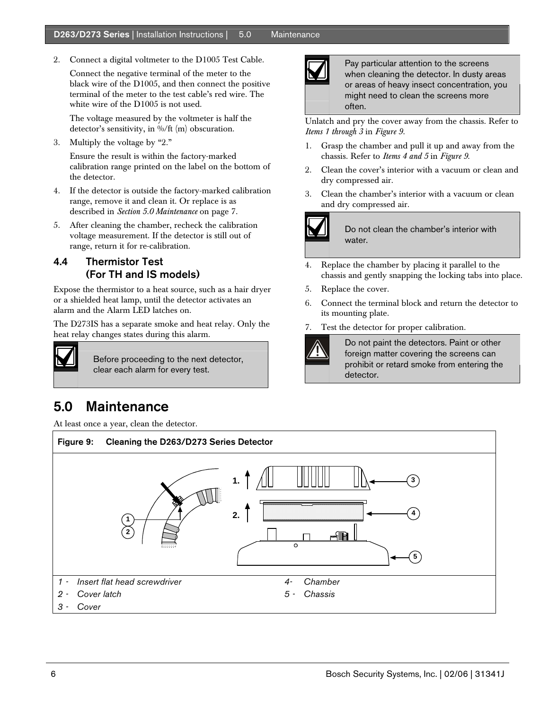#### D263/D273 Series | Installation Instructions | 5.0 Maintenance

2. Connect a digital voltmeter to the D1005 Test Cable.

Connect the negative terminal of the meter to the black wire of the D1005, and then connect the positive terminal of the meter to the test cable's red wire. The white wire of the D1005 is not used.

The voltage measured by the voltmeter is half the detector's sensitivity, in %/ft (m) obscuration.

3. Multiply the voltage by "2."

Ensure the result is within the factory-marked calibration range printed on the label on the bottom of the detector.

- 4. If the detector is outside the factory-marked calibration range, remove it and clean it. Or replace is as described in *Section 5.0 Maintenance* on page 7.
- 5. After cleaning the chamber, recheck the calibration voltage measurement. If the detector is still out of range, return it for re-calibration.

### 4.4 Thermistor Test (For TH and IS models)

Expose the thermistor to a heat source, such as a hair dryer or a shielded heat lamp, until the detector activates an alarm and the Alarm LED latches on.

The D273IS has a separate smoke and heat relay. Only the heat relay changes states during this alarm.



Before proceeding to the next detector, clear each alarm for every test.

# 5.0 Maintenance

At least once a year, clean the detector.



Pay particular attention to the screens when cleaning the detector. In dusty areas or areas of heavy insect concentration, you might need to clean the screens more often.

Unlatch and pry the cover away from the chassis. Refer to *Items 1 through 3* in *Figure 9.* 

- 1. Grasp the chamber and pull it up and away from the chassis. Refer to *Items 4 and 5* in *Figure 9*.
- 2. Clean the cover's interior with a vacuum or clean and dry compressed air.
- 3. Clean the chamber's interior with a vacuum or clean and dry compressed air.



Do not clean the chamber's interior with water.

- 4. Replace the chamber by placing it parallel to the chassis and gently snapping the locking tabs into place.
- 5. Replace the cover.
- 6. Connect the terminal block and return the detector to its mounting plate.
- 7. Test the detector for proper calibration.

Do not paint the detectors. Paint or other foreign matter covering the screens can prohibit or retard smoke from entering the detector.

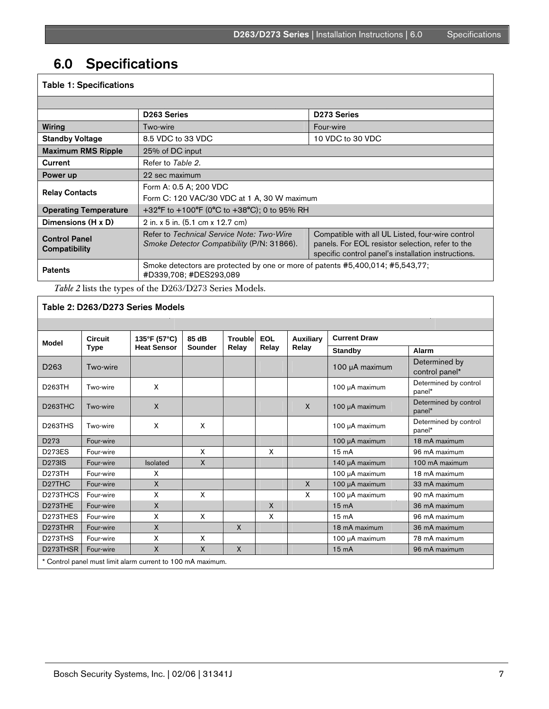# 6.0 Specifications

#### Table 1: Specifications D263 Series **D263** Series **Wiring T**wo-wire Four-wire Four-wire Four-wire Four-wire Standby Voltage 8.5 VDC to 33 VDC 10 VDC 10 VDC to 30 VDC Maximum RMS Ripple | 25% of DC input **Current** Refer to Table 2. **Power up** 22 sec maximum Relay Contacts Form A: 0.5 A; 200 VDC Form C: 120 VAC/30 VDC at 1 A, 30 W maximum **Operating Temperature**  $+32^{\circ}F$  to  $+100^{\circ}F$  (0°C to  $+38^{\circ}C$ ); 0 to 95% RH **Dimensions (H x D)**  $\vert$  2 in. x 5 in. (5.1 cm x 12.7 cm) Control Panel **Compatibility** Refer to *Technical Service Note: Two-Wire Smoke Detector Compatibility* (P/N: 31866). Compatible with all UL Listed, four-wire control panels. For EOL resistor selection, refer to the specific control panel's installation instructions. Patents Smoke detectors are protected by one or more of patents #5,400,014; #5,543,77; #D339,708; #DES293,089

*Table 2* lists the types of the D263/D273 Series Models.

### Table 2: D263/D273 Series Models

| <b>Model</b>                                                | <b>Circuit</b><br>Type | 135°F (57°C)<br><b>Heat Sensor</b> | 85 dB<br>Sounder | Trouble<br>Relay | <b>EOL</b><br>Relay | <b>Auxiliary</b><br>Relay | <b>Current Draw</b> |                                 |
|-------------------------------------------------------------|------------------------|------------------------------------|------------------|------------------|---------------------|---------------------------|---------------------|---------------------------------|
|                                                             |                        |                                    |                  |                  |                     |                           | <b>Standby</b>      | Alarm                           |
| D <sub>263</sub>                                            | Two-wire               |                                    |                  |                  |                     |                           | 100 µA maximum      | Determined by<br>control panel* |
| D263TH                                                      | Two-wire               | X                                  |                  |                  |                     |                           | 100 µA maximum      | Determined by control<br>panel* |
| D <sub>263</sub> THC                                        | Two-wire               | X                                  |                  |                  |                     | X                         | 100 µA maximum      | Determined by control<br>panel* |
| D <sub>263</sub> THS                                        | Two-wire               | X                                  | X                |                  |                     |                           | 100 µA maximum      | Determined by control<br>panel* |
| D <sub>273</sub>                                            | Four-wire              |                                    |                  |                  |                     |                           | 100 µA maximum      | 18 mA maximum                   |
| <b>D273ES</b>                                               | Four-wire              |                                    | X                |                  | X                   |                           | 15 <sub>m</sub> A   | 96 mA maximum                   |
| <b>D273IS</b>                                               | Four-wire              | Isolated                           | $\mathsf{x}$     |                  |                     |                           | 140 µA maximum      | 100 mA maximum                  |
| D273TH                                                      | Four-wire              | x                                  |                  |                  |                     |                           | 100 µA maximum      | 18 mA maximum                   |
| D <sub>27</sub> THC                                         | Four-wire              | $\mathsf{x}$                       |                  |                  |                     | $\mathsf{x}$              | 100 µA maximum      | 33 mA maximum                   |
| D <sub>273</sub> THCS                                       | Four-wire              | X                                  | X                |                  |                     | X                         | 100 µA maximum      | 90 mA maximum                   |
| D273THE                                                     | Four-wire              | X                                  |                  |                  | $\mathsf{x}$        |                           | 15 <sub>m</sub> A   | 36 mA maximum                   |
| D273THES                                                    | Four-wire              | X                                  | X                |                  | X                   |                           | 15 <sub>m</sub> A   | 96 mA maximum                   |
| D273THR                                                     | Four-wire              | $\mathsf{X}$                       |                  | $\mathsf{x}$     |                     |                           | 18 mA maximum       | 36 mA maximum                   |
| D <sub>273</sub> THS                                        | Four-wire              | X                                  | X                |                  |                     |                           | 100 µA maximum      | 78 mA maximum                   |
| D273THSR                                                    | Four-wire              | X                                  | $\mathsf{X}$     | X                |                     |                           | 15 <sub>m</sub> A   | 96 mA maximum                   |
| * Control panel must limit alarm current to 100 mA maximum. |                        |                                    |                  |                  |                     |                           |                     |                                 |